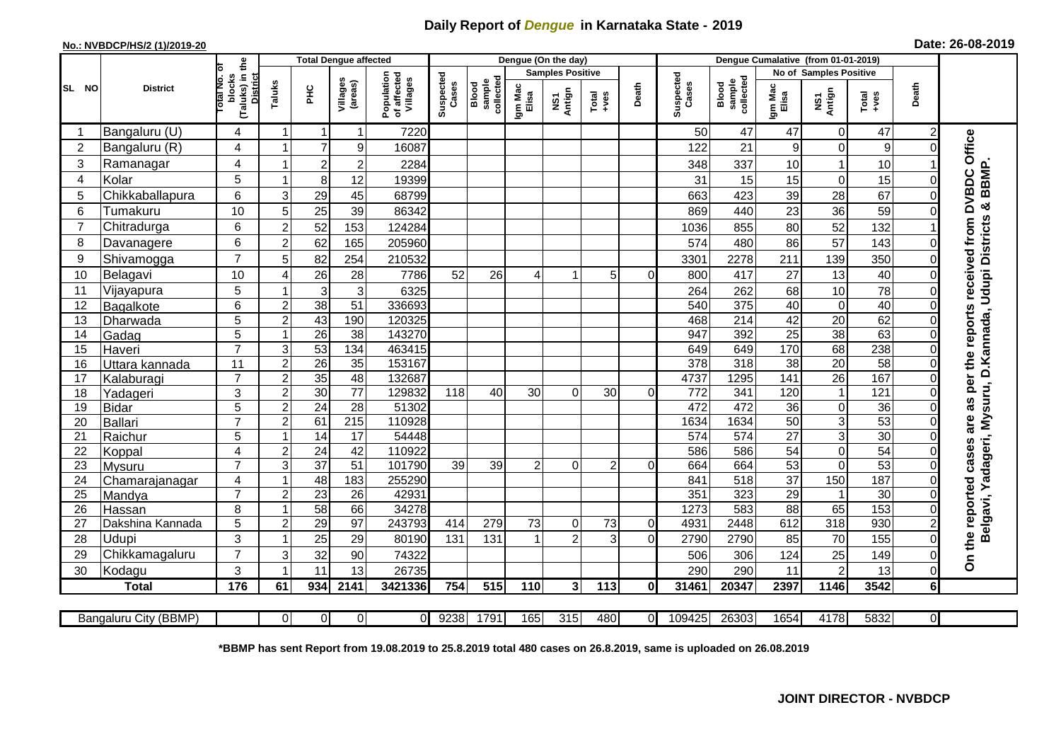## **Daily Report of** *Dengue* **in Karnataka State - 2019**

## **No.: NVBDCP/HS/2 (1)/2019-20 Date: 26-08-2019**

|                | <b>District</b>       | £                                               | <b>Total Dengue affected</b> |                 |                     |                                       |                    |                              |                         | Dengue (On the day)              |                 |          |                    |                              |                        |                       |                 |                |                                               |
|----------------|-----------------------|-------------------------------------------------|------------------------------|-----------------|---------------------|---------------------------------------|--------------------|------------------------------|-------------------------|----------------------------------|-----------------|----------|--------------------|------------------------------|------------------------|-----------------------|-----------------|----------------|-----------------------------------------------|
| SL NO          |                       | ō                                               |                              |                 |                     |                                       |                    |                              | <b>Samples Positive</b> |                                  |                 |          |                    |                              | No of Samples Positive |                       |                 |                |                                               |
|                |                       | (Taluks) in t<br>District<br>blocks<br>otal No. | Taluks                       | Ξ               | Villages<br>(areas) | Population<br>of affected<br>Villages | Suspected<br>Cases | collected<br>sample<br>Blood | Igm Mac<br>Elisa        | Antign<br>$\overline{\text{MS}}$ | Total<br>$+ves$ | Death    | Suspected<br>Cases | Blood<br>sample<br>collected | Igm Mac<br>Elisa       | NS1<br>Antign         | Total<br>$-ves$ | Death          |                                               |
|                | Bangaluru (U)         | 4                                               |                              | 1               |                     | 7220                                  |                    |                              |                         |                                  |                 |          | 50                 | 47                           | 47                     | $\mathbf 0$           | 47              | $\overline{2}$ |                                               |
| $\overline{2}$ | Bangaluru (R)         | 4                                               |                              | $\overline{7}$  | $\overline{9}$      | 16087                                 |                    |                              |                         |                                  |                 |          | 122                | 21                           | 9                      | $\Omega$              | 9               |                |                                               |
| 3              | Ramanagar             | 4                                               |                              | $\overline{c}$  | $\overline{2}$      | 2284                                  |                    |                              |                         |                                  |                 |          | 348                | 337                          | 10                     |                       | 10              |                | as per the reports received from DVBDC Office |
| 4              | Kolar                 | 5                                               | 1                            | 8               | 12                  | 19399                                 |                    |                              |                         |                                  |                 |          | 31                 | 15                           | 15                     | $\mathbf 0$           | 15              | 0              | BBMP.                                         |
| 5              | Chikkaballapura       | 6                                               | 3                            | 29              | 45                  | 68799                                 |                    |                              |                         |                                  |                 |          | 663                | 423                          | 39                     | 28                    | 67              | 0              |                                               |
| 6              | Tumakuru              | 10                                              | 5                            | 25              | 39                  | 86342                                 |                    |                              |                         |                                  |                 |          | 869                | 440                          | 23                     | 36                    | 59              | 0              | න්                                            |
| 7              | Chitradurga           | 6                                               | $\overline{2}$               | 52              | 153                 | 124284                                |                    |                              |                         |                                  |                 |          | 1036               | 855                          | 80                     | 52                    | 132             |                |                                               |
| 8              | Davanagere            | 6                                               | $\overline{2}$               | 62              | 165                 | 205960                                |                    |                              |                         |                                  |                 |          | 574                | 480                          | 86                     | 57                    | 143             | O              |                                               |
| 9              | Shivamogga            | $\overline{7}$                                  | 5                            | 82              | 254                 | 210532                                |                    |                              |                         |                                  |                 |          | 3301               | 2278                         | 211                    | 139                   | 350             | 0              | <b>Udupi Districts</b>                        |
| 10             | Belagavi              | 10                                              | 4                            | 26              | 28                  | 7786                                  | 52                 | 26                           | 4                       |                                  | 5               |          | 800                | 417                          | 27                     | 13                    | 40              |                |                                               |
| 11             | Vijayapura            | 5                                               | 1                            | 3               | $\overline{3}$      | 6325                                  |                    |                              |                         |                                  |                 |          | 264                | 262                          | 68                     | 10                    | 78              | 0              |                                               |
| 12             | Bagalkote             | 6                                               | $\boldsymbol{2}$             | $\overline{38}$ | $\overline{51}$     | 336693                                |                    |                              |                         |                                  |                 |          | 540                | 375                          | 40                     | $\mathbf 0$           | 40              |                |                                               |
| 13             | Dharwada              | 5                                               | $\overline{2}$               | $\overline{43}$ | 190                 | 120325                                |                    |                              |                         |                                  |                 |          | 468                | $\overline{214}$             | 42                     | $\overline{20}$       | 62              | 0              | adageri, Mysuru, D.Kannada,                   |
| 14             | Gadag                 | 5                                               | 1                            | $\overline{26}$ | 38                  | 143270                                |                    |                              |                         |                                  |                 |          | 947                | 392                          | $\overline{25}$        | $\overline{38}$       | 63              | $\Omega$       |                                               |
| 15             | Haveri                | $\overline{7}$                                  | 3                            | 53              | 134                 | 463415                                |                    |                              |                         |                                  |                 |          | 649                | 649                          | 170                    | 68                    | 238             | 0              |                                               |
| 16             | Uttara kannada        | 11                                              | $\overline{c}$               | $\overline{26}$ | 35                  | 153167                                |                    |                              |                         |                                  |                 |          | 378                | 318                          | $\overline{38}$        | 20                    | 58              | $\Omega$       |                                               |
| 17             | Kalaburagi            | $\overline{7}$                                  | $\overline{2}$               | $\overline{35}$ | 48                  | 132687                                |                    |                              |                         |                                  |                 |          | 4737               | 1295                         | $\frac{141}{1}$        | $\overline{26}$       | 167             | 0              |                                               |
| 18             | Yadageri              | 3                                               | $\overline{2}$               | 30              | $\overline{77}$     | 129832                                | 118                | 40                           | 30                      | 0                                | 30              | ΩI       | 772                | 341                          | 120                    | $\mathbf{1}$          | 121             | 0              |                                               |
| 19             | Bidar                 | 5                                               | $\overline{c}$               | $\overline{24}$ | $\overline{28}$     | 51302                                 |                    |                              |                         |                                  |                 |          | 472                | 472                          | 36                     | $\mathbf 0$           | $\overline{36}$ | 0              |                                               |
| 20             | Ballari               | $\overline{7}$                                  | $\boldsymbol{2}$             | 61              | 215                 | 110928                                |                    |                              |                         |                                  |                 |          | 1634               | 1634                         | $\overline{50}$        | $\overline{3}$        | 53              | 0              |                                               |
| 21             | Raichur               | 5                                               | $\overline{1}$               | 14              | 17                  | 54448                                 |                    |                              |                         |                                  |                 |          | 574                | 574                          | 27                     | $\mathbf{3}$          | 30              |                |                                               |
| 22             | Koppal                | $\overline{4}$                                  | $\overline{c}$               | 24              | 42                  | 110922                                |                    |                              |                         |                                  |                 |          | 586                | 586                          | 54                     | $\mathbf 0$           | $\overline{54}$ |                |                                               |
| 23             | Mysuru                | $\overline{7}$                                  | 3                            | $\overline{37}$ | $\overline{51}$     | 101790                                | 39                 | 39                           | 2                       | $\Omega$                         | 2               | ΩI       | 664                | 664<br>518                   | 53                     | $\mathbf 0$           | 53              |                |                                               |
| 24<br>25       | Chamarajanagar        | 4<br>$\overline{7}$                             | 1<br>$\overline{2}$          | 48<br>23        | 183<br>26           | 255290<br>42931                       |                    |                              |                         |                                  |                 |          | 841<br>351         | 323                          | 37<br>29               | 150<br>$\overline{1}$ | 187<br>30       | $\Omega$       | ≻                                             |
| 26             | Mandya<br>Hassan      | 8                                               | 1                            | 58              | 66                  | 34278                                 |                    |                              |                         |                                  |                 |          | 1273               | 583                          | 88                     | 65                    | 153             | 0              | the reported cases are<br>elgavi,             |
| 27             | Dakshina Kannada      | 5                                               | $\overline{2}$               | 29              | $\overline{97}$     | 243793                                | 414                | 279                          | 73                      | 0                                | 73              | $\Omega$ | 4931               | 2448                         | 612                    | 318                   | 930             | $\overline{2}$ |                                               |
| 28             | Udupi                 | 3                                               |                              | 25              | 29                  | 80190                                 | 131                | 131                          |                         | 2                                | 3               | ΩI       | 2790               | 2790                         | 85                     | 70                    | 155             | 0              |                                               |
| 29             | Chikkamagaluru        | $\overline{7}$                                  | 3                            | 32              | 90                  | 74322                                 |                    |                              |                         |                                  |                 |          | 506                | 306                          | 124                    | 25                    | 149             | 0              |                                               |
| 30             | Kodagu                | 3                                               | 1                            | 11              | 13                  | 26735                                 |                    |                              |                         |                                  |                 |          | 290                | 290                          | 11                     | $\overline{2}$        | 13              | $\Omega$       | δ                                             |
|                | <b>Total</b>          | 176                                             | 61                           | 934             | 2141                | 3421336                               | 754                | 515                          | 110                     | 3 <sup>1</sup>                   | 113             | 0        | 31461              | 20347                        | 2397                   | 1146                  | 3542            | 6              |                                               |
|                |                       |                                                 |                              |                 |                     |                                       |                    |                              |                         |                                  |                 |          |                    |                              |                        |                       |                 |                |                                               |
|                | Bangaluru City (BBMP) |                                                 | $\Omega$                     | $\Omega$        | $\overline{0}$      | ΩI                                    | 9238               | 1791                         | 165                     | 315                              | 480             | ΩI       | 109425             | 26303                        | 1654                   | 4178                  | 5832            | ΟI             |                                               |

**\*BBMP has sent Report from 19.08.2019 to 25.8.2019 total 480 cases on 26.8.2019, same is uploaded on 26.08.2019**